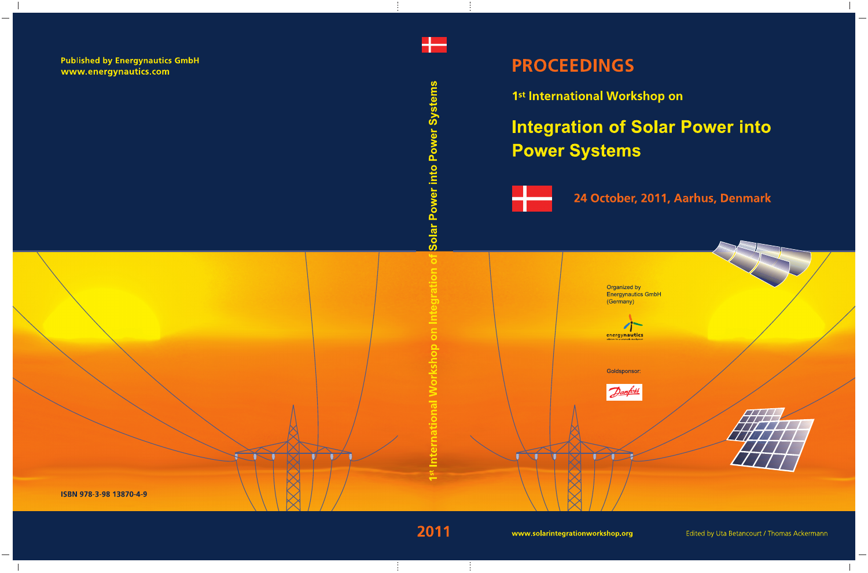

1st International Workshop on

# **Integration of Solar Power into Power Systems**



24 October, 2011, Aarhus, Denmark



Edited by Uta Betancourt / Thomas Ackermann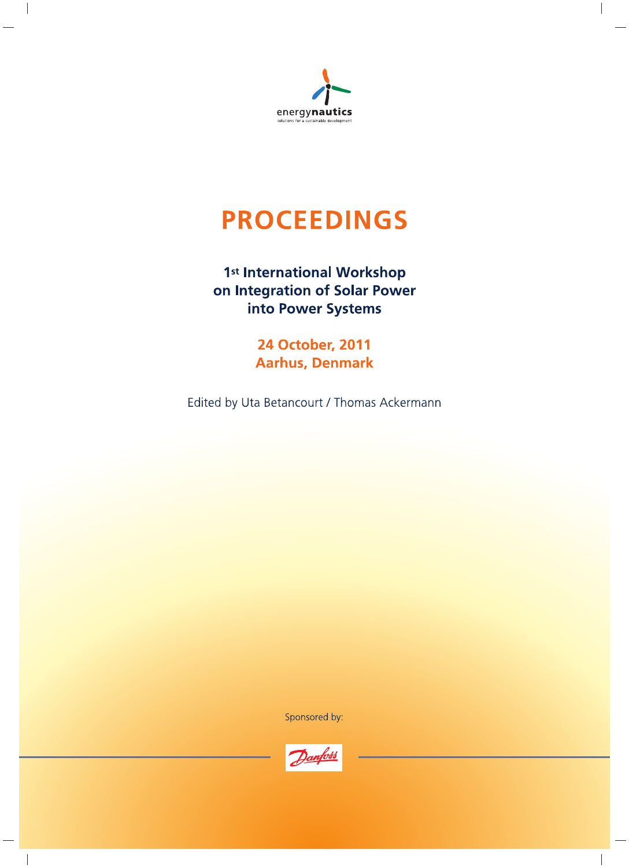

# **PROCEEDINGS**

# 1st International Workshop on Integration of Solar Power into Power Systems

**24 October, 2011 Aarhus, Denmark** 

Edited by Uta Betancourt / Thomas Ackermann

Sponsored by:

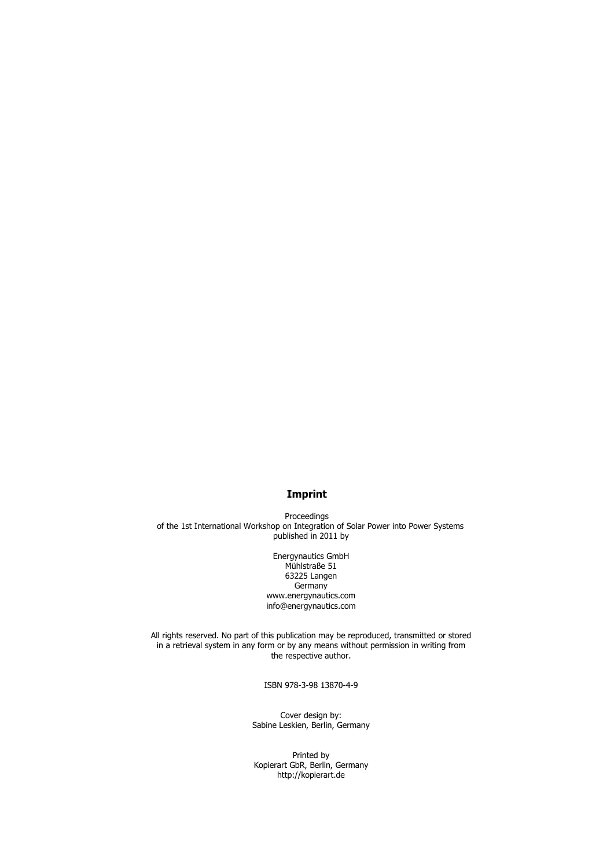# **Imprint**

Proceedings of the 1st International Workshop on Integration of Solar Power into Power Systems published in 2011 by

> Energynautics GmbH Mühlstraße 51 63225 Langen **Germany** www.energynautics.com info@energynautics.com

All rights reserved. No part of this publication may be reproduced, transmitted or stored in a retrieval system in any form or by any means without permission in writing from the respective author.

ISBN 978-3-98 13870-4-9

Cover design by: Sabine Leskien, Berlin, Germany

Printed by Kopierart GbR, Berlin, Germany http://kopierart.de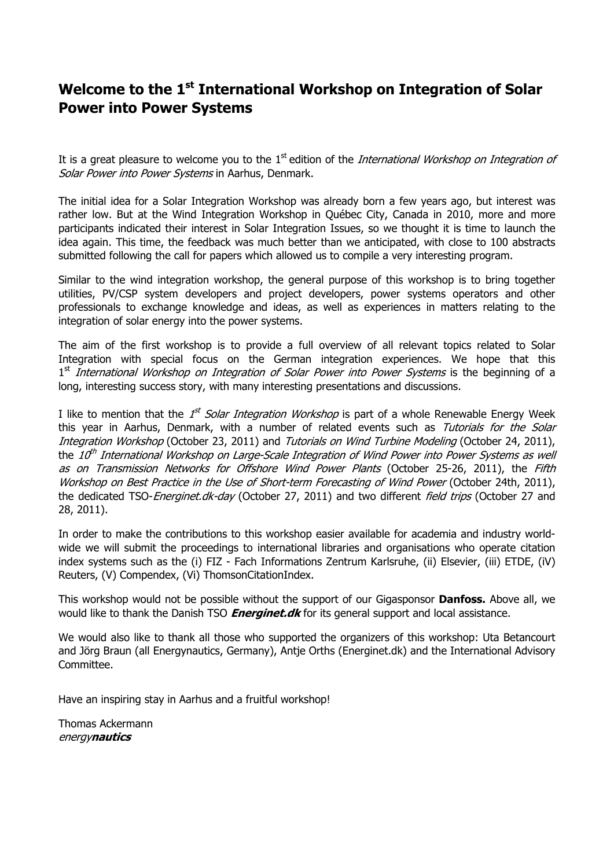# **Welcome to the 1st International Workshop on Integration of Solar Power into Power Systems**

It is a great pleasure to welcome you to the  $1<sup>st</sup>$  edition of the *International Workshop on Integration of* Solar Power into Power Systems in Aarhus, Denmark.

The initial idea for a Solar Integration Workshop was already born a few years ago, but interest was rather low. But at the Wind Integration Workshop in Québec City, Canada in 2010, more and more participants indicated their interest in Solar Integration Issues, so we thought it is time to launch the idea again. This time, the feedback was much better than we anticipated, with close to 100 abstracts submitted following the call for papers which allowed us to compile a very interesting program.

Similar to the wind integration workshop, the general purpose of this workshop is to bring together utilities, PV/CSP system developers and project developers, power systems operators and other professionals to exchange knowledge and ideas, as well as experiences in matters relating to the integration of solar energy into the power systems.

The aim of the first workshop is to provide a full overview of all relevant topics related to Solar Integration with special focus on the German integration experiences. We hope that this  $1<sup>st</sup>$  International Workshop on Integration of Solar Power into Power Systems is the beginning of a long, interesting success story, with many interesting presentations and discussions.

I like to mention that the *1<sup>st</sup> Solar Integration Workshop* is part of a whole Renewable Energy Week this year in Aarhus, Denmark, with a number of related events such as Tutorials for the Solar Integration Workshop (October 23, 2011) and Tutorials on Wind Turbine Modeling (October 24, 2011), the  $10<sup>th</sup>$  International Workshop on Large-Scale Integration of Wind Power into Power Systems as well as on Transmission Networks for Offshore Wind Power Plants (October 25-26, 2011), the Fifth Workshop on Best Practice in the Use of Short-term Forecasting of Wind Power (October 24th, 2011), the dedicated TSO-Energinet.dk-day (October 27, 2011) and two different field trips (October 27 and 28, 2011).

In order to make the contributions to this workshop easier available for academia and industry worldwide we will submit the proceedings to international libraries and organisations who operate citation index systems such as the (i) FIZ - Fach Informations Zentrum Karlsruhe, (ii) Elsevier, (iii) ETDE, (iV) Reuters, (V) Compendex, (Vi) ThomsonCitationIndex.

This workshop would not be possible without the support of our Gigasponsor **Danfoss.** Above all, we would like to thank the Danish TSO **Energinet.dk** for its general support and local assistance.

We would also like to thank all those who supported the organizers of this workshop: Uta Betancourt and Jörg Braun (all Energynautics, Germany), Antie Orths (Energinet.dk) and the International Advisory Committee.

Have an inspiring stay in Aarhus and a fruitful workshop!

Thomas Ackermann energy**nautics**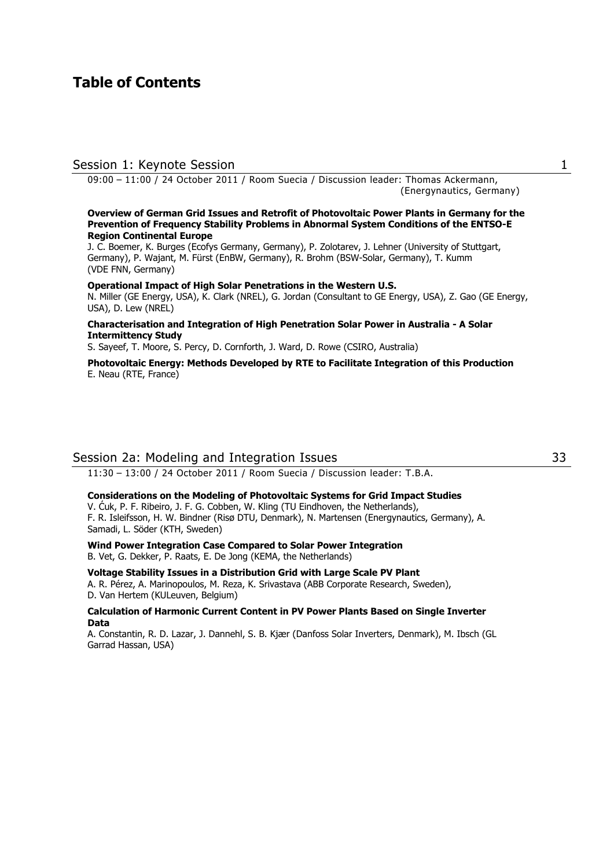# **Table of Contents**

# Session 1: Keynote Session 1

09:00 – 11:00 / 24 October 2011 / Room Suecia / Discussion leader: Thomas Ackermann, (Energynautics, Germany)

#### **Overview of German Grid Issues and Retrofit of Photovoltaic Power Plants in Germany for the Prevention of Frequency Stability Problems in Abnormal System Conditions of the ENTSO-E Region Continental Europe**

J. C. Boemer, K. Burges (Ecofys Germany, Germany), P. Zolotarev, J. Lehner (University of Stuttgart, Germany), P. Wajant, M. Fürst (EnBW, Germany), R. Brohm (BSW-Solar, Germany), T. Kumm (VDE FNN, Germany)

#### **Operational Impact of High Solar Penetrations in the Western U.S.**

N. Miller (GE Energy, USA), K. Clark (NREL), G. Jordan (Consultant to GE Energy, USA), Z. Gao (GE Energy, USA), D. Lew (NREL)

#### **Characterisation and Integration of High Penetration Solar Power in Australia - A Solar Intermittency Study**

S. Sayeef, T. Moore, S. Percy, D. Cornforth, J. Ward, D. Rowe (CSIRO, Australia)

**Photovoltaic Energy: Methods Developed by RTE to Facilitate Integration of this Production** E. Neau (RTE, France)

# Session 2a: Modeling and Integration Issues 33

11:30 – 13:00 / 24 October 2011 / Room Suecia / Discussion leader: T.B.A.

# **Considerations on the Modeling of Photovoltaic Systems for Grid Impact Studies**

V. Ćuk, P. F. Ribeiro, J. F. G. Cobben, W. Kling (TU Eindhoven, the Netherlands), F. R. Isleifsson, H. W. Bindner (Risø DTU, Denmark), N. Martensen (Energynautics, Germany), A. Samadi, L. Söder (KTH, Sweden)

**Wind Power Integration Case Compared to Solar Power Integration** B. Vet, G. Dekker, P. Raats, E. De Jong (KEMA, the Netherlands)

#### **Voltage Stability Issues in a Distribution Grid with Large Scale PV Plant**

A. R. Pérez, A. Marinopoulos, M. Reza, K. Srivastava (ABB Corporate Research, Sweden), D. Van Hertem (KULeuven, Belgium)

#### **Calculation of Harmonic Current Content in PV Power Plants Based on Single Inverter Data**

A. Constantin, R. D. Lazar, J. Dannehl, S. B. Kjær (Danfoss Solar Inverters, Denmark), M. Ibsch (GL Garrad Hassan, USA)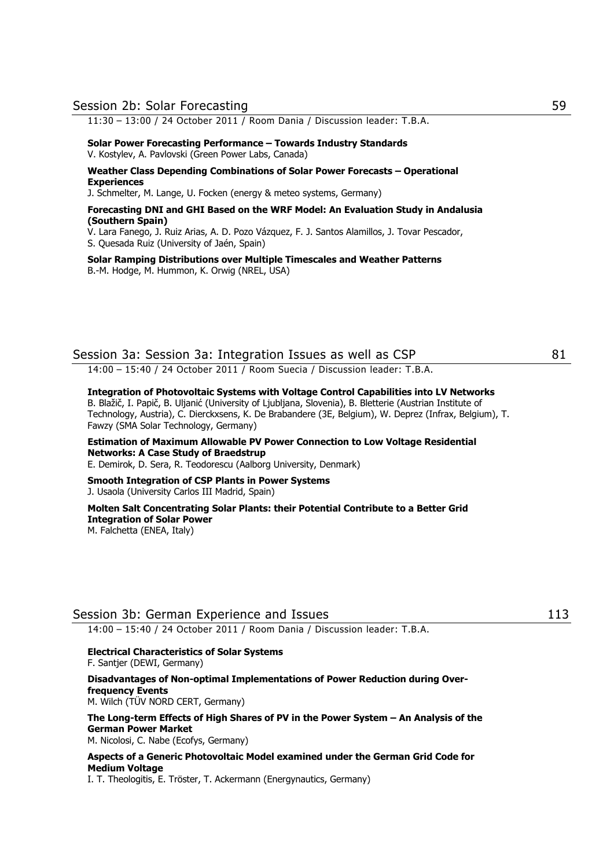#### Session 2b: Solar Forecasting 59

11:30 – 13:00 / 24 October 2011 / Room Dania / Discussion leader: T.B.A.

#### **Solar Power Forecasting Performance – Towards Industry Standards** V. Kostylev, A. Pavlovski (Green Power Labs, Canada)

**Weather Class Depending Combinations of Solar Power Forecasts – Operational Experiences**

J. Schmelter, M. Lange, U. Focken (energy & meteo systems, Germany)

#### **Forecasting DNI and GHI Based on the WRF Model: An Evaluation Study in Andalusia (Southern Spain)**

V. Lara Fanego, J. Ruiz Arias, A. D. Pozo Vázquez, F. J. Santos Alamillos, J. Tovar Pescador,

S. Quesada Ruiz (University of Jaén, Spain)

**Solar Ramping Distributions over Multiple Timescales and Weather Patterns**  B.-M. Hodge, M. Hummon, K. Orwig (NREL, USA)

# Session 3a: Session 3a: Integration Issues as well as CSP 81

14:00 – 15:40 / 24 October 2011 / Room Suecia / Discussion leader: T.B.A.

### **Integration of Photovoltaic Systems with Voltage Control Capabilities into LV Networks**

B. Blažič, I. Papič, B. Uljanić (University of Ljubljana, Slovenia), B. Bletterie (Austrian Institute of Technology, Austria), C. Dierckxsens, K. De Brabandere (3E, Belgium), W. Deprez (Infrax, Belgium), T. Fawzy (SMA Solar Technology, Germany)

# **Estimation of Maximum Allowable PV Power Connection to Low Voltage Residential Networks: A Case Study of Braedstrup**

E. Demirok, D. Sera, R. Teodorescu (Aalborg University, Denmark)

#### **Smooth Integration of CSP Plants in Power Systems**  J. Usaola (University Carlos III Madrid, Spain)

# **Molten Salt Concentrating Solar Plants: their Potential Contribute to a Better Grid Integration of Solar Power**

M. Falchetta (ENEA, Italy)

# Session 3b: German Experience and Issues 113

14:00 – 15:40 / 24 October 2011 / Room Dania / Discussion leader: T.B.A.

#### **Electrical Characteristics of Solar Systems**  F. Santjer (DEWI, Germany)

**Disadvantages of Non-optimal Implementations of Power Reduction during Overfrequency Events** 

M. Wilch (TÜV NORD CERT, Germany)

# **The Long-term Effects of High Shares of PV in the Power System – An Analysis of the German Power Market**

M. Nicolosi, C. Nabe (Ecofys, Germany)

## **Aspects of a Generic Photovoltaic Model examined under the German Grid Code for Medium Voltage**

I. T. Theologitis, E. Tröster, T. Ackermann (Energynautics, Germany)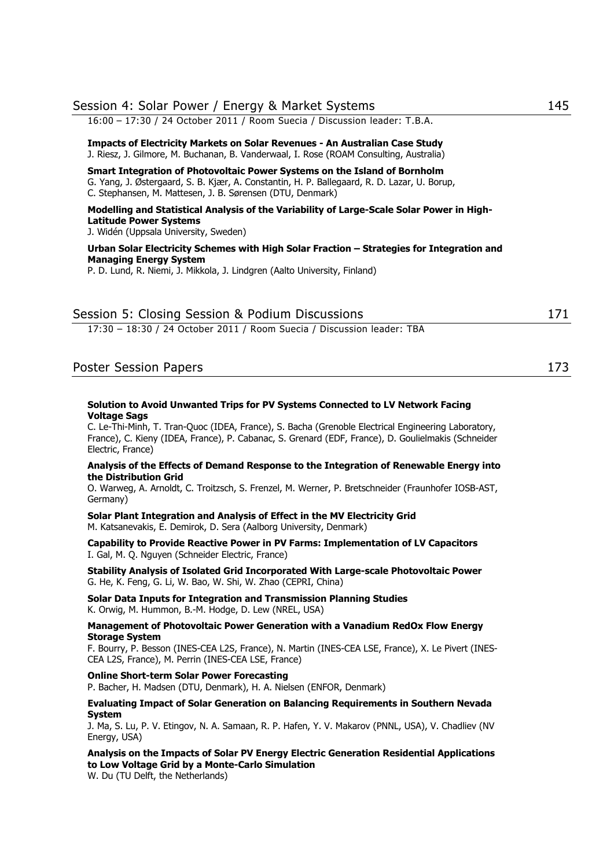| Session 4: Solar Power / Energy & Market Systems                                                                                                                                                                                      | 145 |
|---------------------------------------------------------------------------------------------------------------------------------------------------------------------------------------------------------------------------------------|-----|
| 16:00 - 17:30 / 24 October 2011 / Room Suecia / Discussion leader: T.B.A.                                                                                                                                                             |     |
| Impacts of Electricity Markets on Solar Revenues - An Australian Case Study<br>J. Riesz, J. Gilmore, M. Buchanan, B. Vanderwaal, I. Rose (ROAM Consulting, Australia)                                                                 |     |
| Smart Integration of Photovoltaic Power Systems on the Island of Bornholm<br>G. Yang, J. Østergaard, S. B. Kjær, A. Constantin, H. P. Ballegaard, R. D. Lazar, U. Borup,<br>C. Stephansen, M. Mattesen, J. B. Sørensen (DTU, Denmark) |     |
| Modelling and Statistical Analysis of the Variability of Large-Scale Solar Power in High-<br><b>Latitude Power Systems</b><br>J. Widén (Uppsala University, Sweden)                                                                   |     |
| Urban Solar Electricity Schemes with High Solar Fraction - Strategies for Integration and<br><b>Managing Energy System</b><br>P. D. Lund, R. Niemi, J. Mikkola, J. Lindgren (Aalto University, Finland)                               |     |
| Session 5: Closing Session & Podium Discussions                                                                                                                                                                                       | 171 |
| 17:30 - 18:30 / 24 October 2011 / Room Suecia / Discussion leader: TBA                                                                                                                                                                |     |

# Poster Session Papers 173

#### **Solution to Avoid Unwanted Trips for PV Systems Connected to LV Network Facing Voltage Sags**

C. Le-Thi-Minh, T. Tran-Quoc (IDEA, France), S. Bacha (Grenoble Electrical Engineering Laboratory, France), C. Kieny (IDEA, France), P. Cabanac, S. Grenard (EDF, France), D. Goulielmakis (Schneider Electric, France)

#### **Analysis of the Effects of Demand Response to the Integration of Renewable Energy into the Distribution Grid**

O. Warweg, A. Arnoldt, C. Troitzsch, S. Frenzel, M. Werner, P. Bretschneider (Fraunhofer IOSB-AST, Germany)

**Solar Plant Integration and Analysis of Effect in the MV Electricity Grid**  M. Katsanevakis, E. Demirok, D. Sera (Aalborg University, Denmark)

**Capability to Provide Reactive Power in PV Farms: Implementation of LV Capacitors**  I. Gal, M. Q. Nguyen (Schneider Electric, France)

**Stability Analysis of Isolated Grid Incorporated With Large-scale Photovoltaic Power**  G. He, K. Feng, G. Li, W. Bao, W. Shi, W. Zhao (CEPRI, China)

**Solar Data Inputs for Integration and Transmission Planning Studies**  K. Orwig, M. Hummon, B.-M. Hodge, D. Lew (NREL, USA)

**Management of Photovoltaic Power Generation with a Vanadium RedOx Flow Energy Storage System** 

F. Bourry, P. Besson (INES-CEA L2S, France), N. Martin (INES-CEA LSE, France), X. Le Pivert (INES-CEA L2S, France), M. Perrin (INES-CEA LSE, France)

**Online Short-term Solar Power Forecasting** 

P. Bacher, H. Madsen (DTU, Denmark), H. A. Nielsen (ENFOR, Denmark)

#### **Evaluating Impact of Solar Generation on Balancing Requirements in Southern Nevada System**

J. Ma, S. Lu, P. V. Etingov, N. A. Samaan, R. P. Hafen, Y. V. Makarov (PNNL, USA), V. Chadliev (NV Energy, USA)

**Analysis on the Impacts of Solar PV Energy Electric Generation Residential Applications to Low Voltage Grid by a Monte-Carlo Simulation** 

W. Du (TU Delft, the Netherlands)